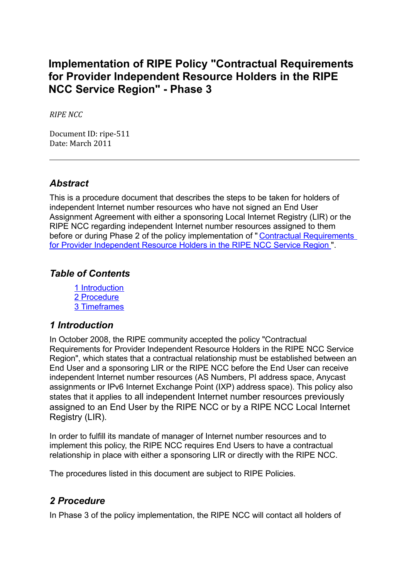# **Implementation of RIPE Policy "Contractual Requirements for Provider Independent Resource Holders in the RIPE NCC Service Region" - Phase 3**

*RIPE NCC*

Document ID: ripe‐511 Date: March 2011

#### *Abstract*

This is a procedure document that describes the steps to be taken for holders of independent Internet number resources who have not signed an End User Assignment Agreement with either a sponsoring Local Internet Registry (LIR) or the RIPE NCC regarding independent Internet number resources assigned to them before or during Phase 2 of the policy implementation of "Contractual [Requirements](https://www.ripe.net/ripe/docs/contract-req) for Provider [Independent](https://www.ripe.net/ripe/docs/contract-req) Resource Holders in the RIPE NCC Service Region ".

### *Table of Contents*

1 [Introduction](#page-0-1) 2 [Procedure](#page-0-0) 3 [Timeframes](#page-2-0)

#### <span id="page-0-1"></span>*1 Introduction*

In October 2008, the RIPE community accepted the policy "Contractual Requirements for Provider Independent Resource Holders in the RIPE NCC Service Region", which states that a contractual relationship must be established between an End User and a sponsoring LIR or the RIPE NCC before the End User can receive independent Internet number resources (AS Numbers, PI address space, Anycast assignments or IPv6 Internet Exchange Point (IXP) address space). This policy also states that it applies to all independent Internet number resources previously assigned to an End User by the RIPE NCC or by a RIPE NCC Local Internet Registry (LIR).

In order to fulfill its mandate of manager of Internet number resources and to implement this policy, the RIPE NCC requires End Users to have a contractual relationship in place with either a sponsoring LIR or directly with the RIPE NCC.

The procedures listed in this document are subject to RIPE Policies.

## <span id="page-0-0"></span>*2 Procedure*

In Phase 3 of the policy implementation, the RIPE NCC will contact all holders of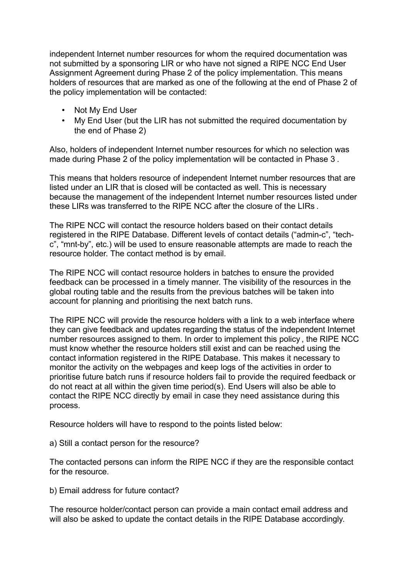independent Internet number resources for whom the required documentation was not submitted by a sponsoring LIR or who have not signed a RIPE NCC End User Assignment Agreement during Phase 2 of the policy implementation. This means holders of resources that are marked as one of the following at the end of Phase 2 of the policy implementation will be contacted:

- Not My End User
- My End User (but the LIR has not submitted the required documentation by the end of Phase 2)

Also, holders of independent Internet number resources for which no selection was made during Phase 2 of the policy implementation will be contacted in Phase 3 .

This means that holders resource of independent Internet number resources that are listed under an LIR that is closed will be contacted as well. This is necessary because the management of the independent Internet number resources listed under these LIRs was transferred to the RIPE NCC after the closure of the LIRs .

The RIPE NCC will contact the resource holders based on their contact details registered in the RIPE Database. Different levels of contact details ("admin-c", "techc", "mnt-by", etc.) will be used to ensure reasonable attempts are made to reach the resource holder. The contact method is by email.

The RIPE NCC will contact resource holders in batches to ensure the provided feedback can be processed in a timely manner. The visibility of the resources in the global routing table and the results from the previous batches will be taken into account for planning and prioritising the next batch runs.

The RIPE NCC will provide the resource holders with a link to a web interface where they can give feedback and updates regarding the status of the independent Internet number resources assigned to them. In order to implement this policy , the RIPE NCC must know whether the resource holders still exist and can be reached using the contact information registered in the RIPE Database. This makes it necessary to monitor the activity on the webpages and keep logs of the activities in order to prioritise future batch runs if resource holders fail to provide the required feedback or do not react at all within the given time period(s). End Users will also be able to contact the RIPE NCC directly by email in case they need assistance during this process.

Resource holders will have to respond to the points listed below:

a) Still a contact person for the resource?

The contacted persons can inform the RIPE NCC if they are the responsible contact for the resource.

b) Email address for future contact?

The resource holder/contact person can provide a main contact email address and will also be asked to update the contact details in the RIPE Database accordingly.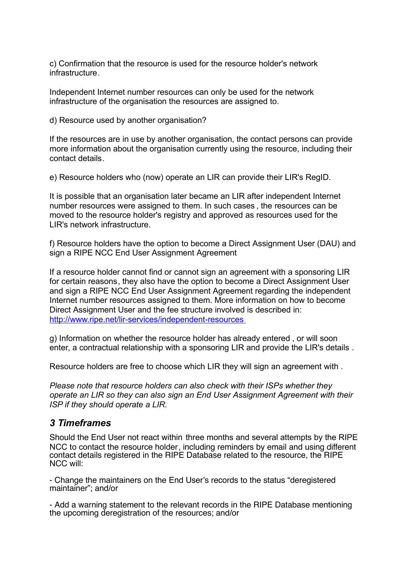c) Confirmation that the resource is used for the resource holder's network infrastructure.

Independent Internet number resources can only be used for the network infrastructure of the organisation the resources are assigned to.

d) Resource used by another organisation?

If the resources are in use by another organisation, the contact persons can provide more information about the organisation currently using the resource, including their contact details.

e) Resource holders who (now) operate an LIR can provide their LIR's RegID.

It is possible that an organisation later became an LIR after independent Internet number resources were assigned to them. In such cases , the resources can be moved to the resource holder's registry and approved as resources used for the LIR's network infrastructure.

f) Resource holders have the option to become a Direct Assignment User (DAU) and sign a RIPE NCC End User Assignment Agreement

If a resource holder cannot find or cannot sign an agreement with a sponsoring LIR for certain reasons, they also have the option to become a Direct Assignment User and sign a RIPE NCC End User Assignment Agreement regarding the independent Internet number resources assigned to them. More information on how to become Direct Assignment User and the fee structure involved is described in: <http://www.ripe.net/lir-services/independent-resources>

g) Information on whether the resource holder has already entered , or will soon enter, a contractual relationship with a sponsoring LIR and provide the LIR's details .

Resource holders are free to choose which LIR they will sign an agreement with .

*Please note that resource holders can also check with their ISPs whether they operate an LIR so they can also sign an End User Assignment Agreement with their ISP if they should operate a LIR.*

#### <span id="page-2-0"></span>*3 Timeframes*

Should the End User not react within three months and several attempts by the RIPE NCC to contact the resource holder, including reminders by email and using different contact details registered in the RIPE Database related to the resource, the RIPE NCC will:

- Change the maintainers on the End User's records to the status "deregistered maintainer"; and/or

- Add a warning statement to the relevant records in the RIPE Database mentioning the upcoming deregistration of the resources; and/or